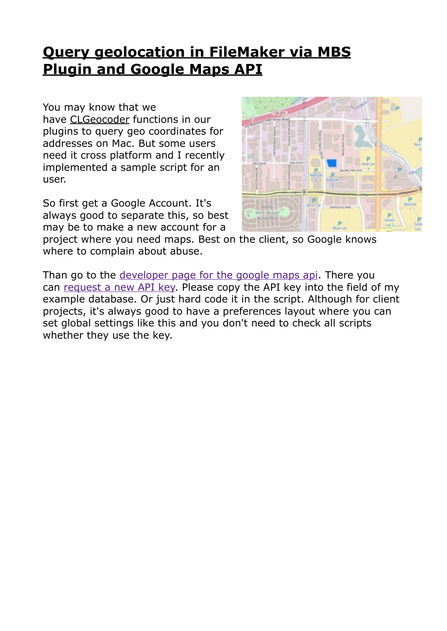# **[Query geolocation in FileMaker via MBS](https://www.mbsplugins.de/archive/2017-01-25/Query_geolocation_in_FileMaker)  Plugin and Google Maps API**

You may know that we

have [CLGeocoder](http://www.mbsplugins.eu/component_CLGeocoder.shtml) functions in our plugins to query geo coordinates for addresses on Mac. But some users need it cross platform and I recently implemented a sample script for an user.

So first get a Google Account. It's always good to separate this, so best may be to make a new account for a



project where you need maps. Best on the client, so Google knows where to complain about abuse.

Than go to the [developer page for the google maps api](https://developers.google.com/maps/documentation/geocoding/intro). There you can [request a new API key.](https://developers.google.com/maps/documentation/geocoding/get-api-key) Please copy the API key into the field of my example database. Or just hard code it in the script. Although for client projects, it's always good to have a preferences layout where you can set global settings like this and you don't need to check all scripts whether they use the key.